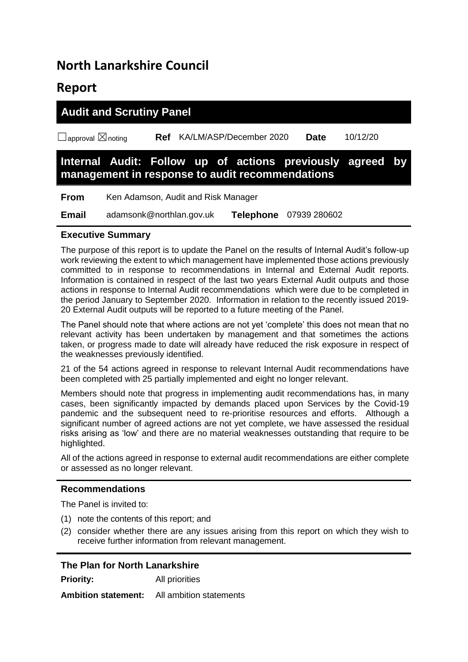# **North Lanarkshire Council**

## **Report**

| <b>Audit and Scrutiny Panel</b>    |  |  |                                                                                                              |             |  |          |  |
|------------------------------------|--|--|--------------------------------------------------------------------------------------------------------------|-------------|--|----------|--|
| $\Box$ approval $\boxtimes$ noting |  |  | Ref KA/LM/ASP/December 2020                                                                                  | <b>Date</b> |  | 10/12/20 |  |
|                                    |  |  | Internal Audit: Follow up of actions previously agreed by<br>management in response to audit recommendations |             |  |          |  |
| <b>From</b>                        |  |  | Ken Adamson, Audit and Risk Manager                                                                          |             |  |          |  |

**Email** adamsonk@northlan.gov.uk **Telephone** 07939 280602

## **Executive Summary**

The purpose of this report is to update the Panel on the results of Internal Audit's follow-up work reviewing the extent to which management have implemented those actions previously committed to in response to recommendations in Internal and External Audit reports. Information is contained in respect of the last two years External Audit outputs and those actions in response to Internal Audit recommendations which were due to be completed in the period January to September 2020. Information in relation to the recently issued 2019- 20 External Audit outputs will be reported to a future meeting of the Panel.

The Panel should note that where actions are not yet 'complete' this does not mean that no relevant activity has been undertaken by management and that sometimes the actions taken, or progress made to date will already have reduced the risk exposure in respect of the weaknesses previously identified.

21 of the 54 actions agreed in response to relevant Internal Audit recommendations have been completed with 25 partially implemented and eight no longer relevant.

Members should note that progress in implementing audit recommendations has, in many cases, been significantly impacted by demands placed upon Services by the Covid-19 pandemic and the subsequent need to re-prioritise resources and efforts. Although a significant number of agreed actions are not yet complete, we have assessed the residual risks arising as 'low' and there are no material weaknesses outstanding that require to be highlighted.

All of the actions agreed in response to external audit recommendations are either complete or assessed as no longer relevant.

#### **Recommendations**

The Panel is invited to:

- (1) note the contents of this report; and
- (2) consider whether there are any issues arising from this report on which they wish to receive further information from relevant management.

#### **The Plan for North Lanarkshire**

**Priority:** All priorities

**Ambition statement:** All ambition statements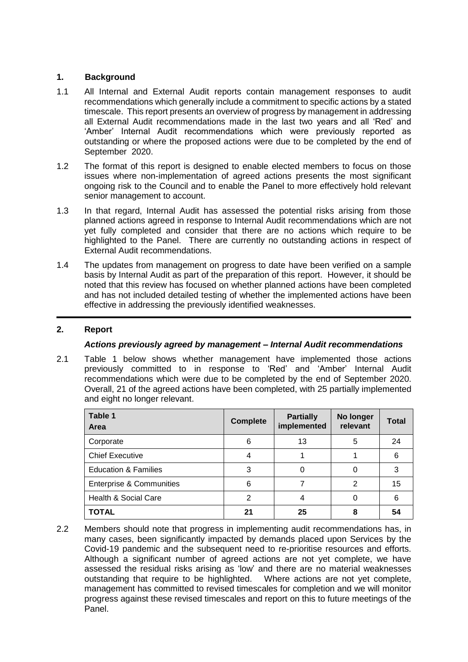### **1. Background**

- 1.1 All Internal and External Audit reports contain management responses to audit recommendations which generally include a commitment to specific actions by a stated timescale. This report presents an overview of progress by management in addressing all External Audit recommendations made in the last two years and all 'Red' and 'Amber' Internal Audit recommendations which were previously reported as outstanding or where the proposed actions were due to be completed by the end of September 2020.
- 1.2 The format of this report is designed to enable elected members to focus on those issues where non-implementation of agreed actions presents the most significant ongoing risk to the Council and to enable the Panel to more effectively hold relevant senior management to account.
- 1.3 In that regard, Internal Audit has assessed the potential risks arising from those planned actions agreed in response to Internal Audit recommendations which are not yet fully completed and consider that there are no actions which require to be highlighted to the Panel. There are currently no outstanding actions in respect of External Audit recommendations.
- 1.4 The updates from management on progress to date have been verified on a sample basis by Internal Audit as part of the preparation of this report. However, it should be noted that this review has focused on whether planned actions have been completed and has not included detailed testing of whether the implemented actions have been effective in addressing the previously identified weaknesses.

## **2. Report**

#### *Actions previously agreed by management – Internal Audit recommendations*

2.1 Table 1 below shows whether management have implemented those actions previously committed to in response to 'Red' and 'Amber' Internal Audit recommendations which were due to be completed by the end of September 2020. Overall, 21 of the agreed actions have been completed, with 25 partially implemented and eight no longer relevant.

| Table 1<br>Area                     | <b>Complete</b> | <b>Partially</b><br>implemented | No longer<br>relevant | <b>Total</b> |
|-------------------------------------|-----------------|---------------------------------|-----------------------|--------------|
| Corporate                           | 6               | 13                              | 5                     | 24           |
| <b>Chief Executive</b>              |                 |                                 |                       | 6            |
| <b>Education &amp; Families</b>     | 3               | 0                               | 0                     | 3            |
| <b>Enterprise &amp; Communities</b> | 6               |                                 | 2                     | 15           |
| Health & Social Care                | 2               | 4                               | 0                     | 6            |
| <b>TOTAL</b>                        | 21              | 25                              | 8                     | 54           |

2.2 Members should note that progress in implementing audit recommendations has, in many cases, been significantly impacted by demands placed upon Services by the Covid-19 pandemic and the subsequent need to re-prioritise resources and efforts. Although a significant number of agreed actions are not yet complete, we have assessed the residual risks arising as 'low' and there are no material weaknesses outstanding that require to be highlighted. Where actions are not yet complete, management has committed to revised timescales for completion and we will monitor progress against these revised timescales and report on this to future meetings of the Panel.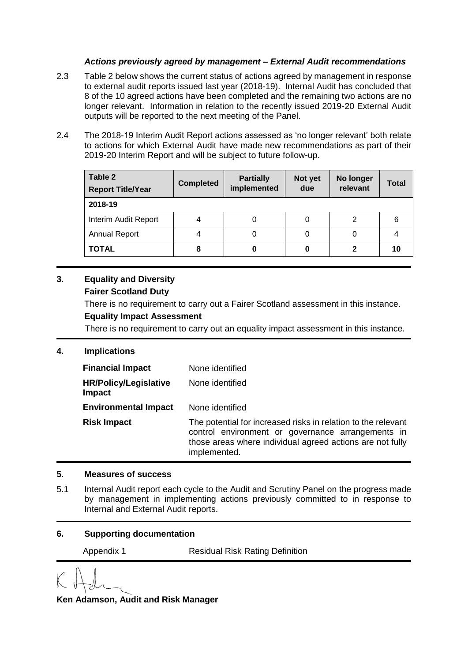#### *Actions previously agreed by management – External Audit recommendations*

- 2.3 Table 2 below shows the current status of actions agreed by management in response to external audit reports issued last year (2018-19). Internal Audit has concluded that 8 of the 10 agreed actions have been completed and the remaining two actions are no longer relevant. Information in relation to the recently issued 2019-20 External Audit outputs will be reported to the next meeting of the Panel.
- 2.4 The 2018-19 Interim Audit Report actions assessed as 'no longer relevant' both relate to actions for which External Audit have made new recommendations as part of their 2019-20 Interim Report and will be subject to future follow-up.

| Table 2<br><b>Report Title/Year</b> | <b>Completed</b> | <b>Partially</b><br>implemented | Not yet<br>due | No longer<br>relevant | <b>Total</b> |
|-------------------------------------|------------------|---------------------------------|----------------|-----------------------|--------------|
| 2018-19                             |                  |                                 |                |                       |              |
| Interim Audit Report                |                  | 0                               |                |                       | 6            |
| <b>Annual Report</b>                | 4                | 0                               | 0              |                       |              |
| <b>TOTAL</b>                        | 8                | 0                               | 0              |                       | 10           |

### **3. Equality and Diversity Fairer Scotland Duty**

There is no requirement to carry out a Fairer Scotland assessment in this instance.

## **Equality Impact Assessment**

There is no requirement to carry out an equality impact assessment in this instance.

#### **4. Implications**

| <b>Financial Impact</b>                       | None identified                                                                                                                                                                                 |
|-----------------------------------------------|-------------------------------------------------------------------------------------------------------------------------------------------------------------------------------------------------|
| <b>HR/Policy/Legislative</b><br><b>Impact</b> | None identified                                                                                                                                                                                 |
| <b>Environmental Impact</b>                   | None identified                                                                                                                                                                                 |
| <b>Risk Impact</b>                            | The potential for increased risks in relation to the relevant<br>control environment or governance arrangements in<br>those areas where individual agreed actions are not fully<br>implemented. |

#### **5. Measures of success**

5.1 Internal Audit report each cycle to the Audit and Scrutiny Panel on the progress made by management in implementing actions previously committed to in response to Internal and External Audit reports.

#### **6. Supporting documentation**

Appendix 1 Residual Risk Rating Definition

**Ken Adamson, Audit and Risk Manager**